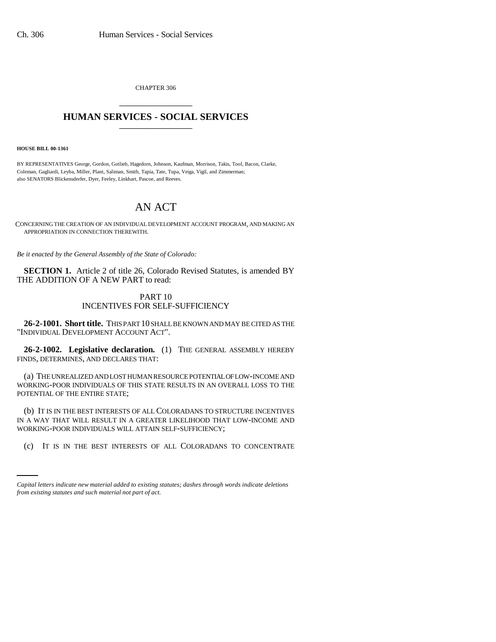CHAPTER 306 \_\_\_\_\_\_\_\_\_\_\_\_\_\_\_

# **HUMAN SERVICES - SOCIAL SERVICES** \_\_\_\_\_\_\_\_\_\_\_\_\_\_\_

**HOUSE BILL 00-1361** 

BY REPRESENTATIVES George, Gordon, Gotlieb, Hagedorn, Johnson, Kaufman, Morrison, Takis, Tool, Bacon, Clarke, Coleman, Gagliardi, Leyba, Miller, Plant, Saliman, Smith, Tapia, Tate, Tupa, Veiga, Vigil, and Zimmerman; also SENATORS Blickensderfer, Dyer, Feeley, Linkhart, Pascoe, and Reeves.

# AN ACT

CONCERNING THE CREATION OF AN INDIVIDUAL DEVELOPMENT ACCOUNT PROGRAM, AND MAKING AN APPROPRIATION IN CONNECTION THEREWITH.

*Be it enacted by the General Assembly of the State of Colorado:*

**SECTION 1.** Article 2 of title 26, Colorado Revised Statutes, is amended BY THE ADDITION OF A NEW PART to read:

## PART 10 INCENTIVES FOR SELF-SUFFICIENCY

**26-2-1001. Short title.** THIS PART 10 SHALL BE KNOWN AND MAY BE CITED AS THE "INDIVIDUAL DEVELOPMENT ACCOUNT ACT".

**26-2-1002. Legislative declaration.** (1) THE GENERAL ASSEMBLY HEREBY FINDS, DETERMINES, AND DECLARES THAT:

(a) THE UNREALIZED AND LOST HUMAN RESOURCE POTENTIAL OF LOW-INCOME AND WORKING-POOR INDIVIDUALS OF THIS STATE RESULTS IN AN OVERALL LOSS TO THE POTENTIAL OF THE ENTIRE STATE;

WORKING-POOR INDIVIDUALS WILL ATTAIN SELF-SUFFICIENCY; (b) IT IS IN THE BEST INTERESTS OF ALL COLORADANS TO STRUCTURE INCENTIVES IN A WAY THAT WILL RESULT IN A GREATER LIKELIHOOD THAT LOW-INCOME AND

(c) IT IS IN THE BEST INTERESTS OF ALL COLORADANS TO CONCENTRATE

*Capital letters indicate new material added to existing statutes; dashes through words indicate deletions from existing statutes and such material not part of act.*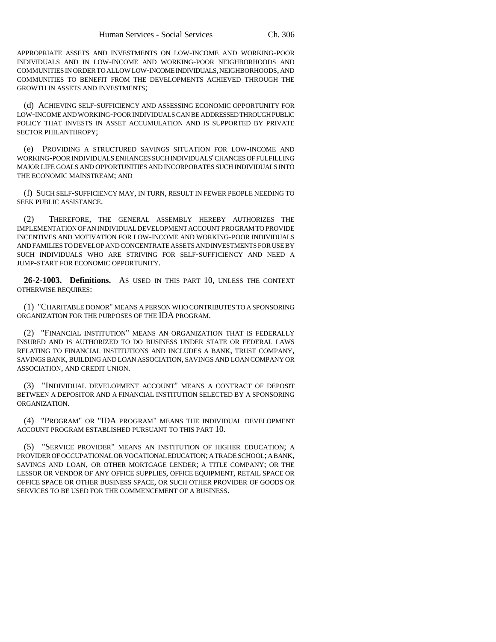APPROPRIATE ASSETS AND INVESTMENTS ON LOW-INCOME AND WORKING-POOR INDIVIDUALS AND IN LOW-INCOME AND WORKING-POOR NEIGHBORHOODS AND COMMUNITIES IN ORDER TO ALLOW LOW-INCOME INDIVIDUALS, NEIGHBORHOODS, AND COMMUNITIES TO BENEFIT FROM THE DEVELOPMENTS ACHIEVED THROUGH THE GROWTH IN ASSETS AND INVESTMENTS;

(d) ACHIEVING SELF-SUFFICIENCY AND ASSESSING ECONOMIC OPPORTUNITY FOR LOW-INCOME AND WORKING-POOR INDIVIDUALS CAN BE ADDRESSED THROUGH PUBLIC POLICY THAT INVESTS IN ASSET ACCUMULATION AND IS SUPPORTED BY PRIVATE SECTOR PHILANTHROPY;

(e) PROVIDING A STRUCTURED SAVINGS SITUATION FOR LOW-INCOME AND WORKING-POOR INDIVIDUALS ENHANCES SUCH INDIVIDUALS' CHANCES OF FULFILLING MAJOR LIFE GOALS AND OPPORTUNITIES AND INCORPORATES SUCH INDIVIDUALS INTO THE ECONOMIC MAINSTREAM; AND

(f) SUCH SELF-SUFFICIENCY MAY, IN TURN, RESULT IN FEWER PEOPLE NEEDING TO SEEK PUBLIC ASSISTANCE.

(2) THEREFORE, THE GENERAL ASSEMBLY HEREBY AUTHORIZES THE IMPLEMENTATION OF AN INDIVIDUAL DEVELOPMENT ACCOUNT PROGRAM TO PROVIDE INCENTIVES AND MOTIVATION FOR LOW-INCOME AND WORKING-POOR INDIVIDUALS AND FAMILIES TO DEVELOP AND CONCENTRATE ASSETS AND INVESTMENTS FOR USE BY SUCH INDIVIDUALS WHO ARE STRIVING FOR SELF-SUFFICIENCY AND NEED A JUMP-START FOR ECONOMIC OPPORTUNITY.

**26-2-1003. Definitions.** AS USED IN THIS PART 10, UNLESS THE CONTEXT OTHERWISE REQUIRES:

(1) "CHARITABLE DONOR" MEANS A PERSON WHO CONTRIBUTES TO A SPONSORING ORGANIZATION FOR THE PURPOSES OF THE IDA PROGRAM.

(2) "FINANCIAL INSTITUTION" MEANS AN ORGANIZATION THAT IS FEDERALLY INSURED AND IS AUTHORIZED TO DO BUSINESS UNDER STATE OR FEDERAL LAWS RELATING TO FINANCIAL INSTITUTIONS AND INCLUDES A BANK, TRUST COMPANY, SAVINGS BANK, BUILDING AND LOAN ASSOCIATION, SAVINGS AND LOAN COMPANY OR ASSOCIATION, AND CREDIT UNION.

(3) "INDIVIDUAL DEVELOPMENT ACCOUNT" MEANS A CONTRACT OF DEPOSIT BETWEEN A DEPOSITOR AND A FINANCIAL INSTITUTION SELECTED BY A SPONSORING ORGANIZATION.

(4) "PROGRAM" OR "IDA PROGRAM" MEANS THE INDIVIDUAL DEVELOPMENT ACCOUNT PROGRAM ESTABLISHED PURSUANT TO THIS PART 10.

(5) "SERVICE PROVIDER" MEANS AN INSTITUTION OF HIGHER EDUCATION; A PROVIDER OF OCCUPATIONAL OR VOCATIONAL EDUCATION; A TRADE SCHOOL; A BANK, SAVINGS AND LOAN, OR OTHER MORTGAGE LENDER; A TITLE COMPANY; OR THE LESSOR OR VENDOR OF ANY OFFICE SUPPLIES, OFFICE EQUIPMENT, RETAIL SPACE OR OFFICE SPACE OR OTHER BUSINESS SPACE, OR SUCH OTHER PROVIDER OF GOODS OR SERVICES TO BE USED FOR THE COMMENCEMENT OF A BUSINESS.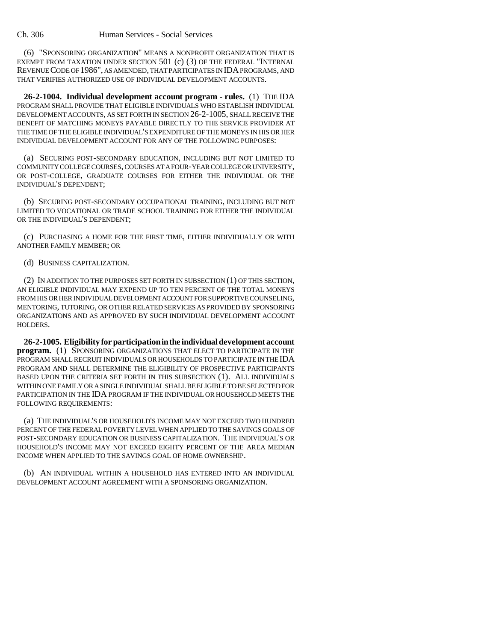(6) "SPONSORING ORGANIZATION" MEANS A NONPROFIT ORGANIZATION THAT IS EXEMPT FROM TAXATION UNDER SECTION 501 (c) (3) OF THE FEDERAL "INTERNAL REVENUE CODE OF 1986", AS AMENDED, THAT PARTICIPATES IN IDA PROGRAMS, AND THAT VERIFIES AUTHORIZED USE OF INDIVIDUAL DEVELOPMENT ACCOUNTS.

**26-2-1004. Individual development account program - rules.** (1) THE IDA PROGRAM SHALL PROVIDE THAT ELIGIBLE INDIVIDUALS WHO ESTABLISH INDIVIDUAL DEVELOPMENT ACCOUNTS, AS SET FORTH IN SECTION 26-2-1005, SHALL RECEIVE THE BENEFIT OF MATCHING MONEYS PAYABLE DIRECTLY TO THE SERVICE PROVIDER AT THE TIME OF THE ELIGIBLE INDIVIDUAL'S EXPENDITURE OF THE MONEYS IN HIS OR HER INDIVIDUAL DEVELOPMENT ACCOUNT FOR ANY OF THE FOLLOWING PURPOSES:

(a) SECURING POST-SECONDARY EDUCATION, INCLUDING BUT NOT LIMITED TO COMMUNITY COLLEGE COURSES, COURSES AT A FOUR-YEAR COLLEGE OR UNIVERSITY, OR POST-COLLEGE, GRADUATE COURSES FOR EITHER THE INDIVIDUAL OR THE INDIVIDUAL'S DEPENDENT;

(b) SECURING POST-SECONDARY OCCUPATIONAL TRAINING, INCLUDING BUT NOT LIMITED TO VOCATIONAL OR TRADE SCHOOL TRAINING FOR EITHER THE INDIVIDUAL OR THE INDIVIDUAL'S DEPENDENT;

(c) PURCHASING A HOME FOR THE FIRST TIME, EITHER INDIVIDUALLY OR WITH ANOTHER FAMILY MEMBER; OR

#### (d) BUSINESS CAPITALIZATION.

(2) IN ADDITION TO THE PURPOSES SET FORTH IN SUBSECTION (1) OF THIS SECTION, AN ELIGIBLE INDIVIDUAL MAY EXPEND UP TO TEN PERCENT OF THE TOTAL MONEYS FROM HIS OR HER INDIVIDUAL DEVELOPMENT ACCOUNT FOR SUPPORTIVE COUNSELING, MENTORING, TUTORING, OR OTHER RELATED SERVICES AS PROVIDED BY SPONSORING ORGANIZATIONS AND AS APPROVED BY SUCH INDIVIDUAL DEVELOPMENT ACCOUNT HOLDERS.

**26-2-1005. Eligibility for participation in the individual development account program.** (1) SPONSORING ORGANIZATIONS THAT ELECT TO PARTICIPATE IN THE PROGRAM SHALL RECRUIT INDIVIDUALS OR HOUSEHOLDS TO PARTICIPATE IN THE IDA PROGRAM AND SHALL DETERMINE THE ELIGIBILITY OF PROSPECTIVE PARTICIPANTS BASED UPON THE CRITERIA SET FORTH IN THIS SUBSECTION (1). ALL INDIVIDUALS WITHIN ONE FAMILY OR A SINGLE INDIVIDUAL SHALL BE ELIGIBLE TO BE SELECTED FOR PARTICIPATION IN THE IDA PROGRAM IF THE INDIVIDUAL OR HOUSEHOLD MEETS THE FOLLOWING REQUIREMENTS:

(a) THE INDIVIDUAL'S OR HOUSEHOLD'S INCOME MAY NOT EXCEED TWO HUNDRED PERCENT OF THE FEDERAL POVERTY LEVEL WHEN APPLIED TO THE SAVINGS GOALS OF POST-SECONDARY EDUCATION OR BUSINESS CAPITALIZATION. THE INDIVIDUAL'S OR HOUSEHOLD'S INCOME MAY NOT EXCEED EIGHTY PERCENT OF THE AREA MEDIAN INCOME WHEN APPLIED TO THE SAVINGS GOAL OF HOME OWNERSHIP.

(b) AN INDIVIDUAL WITHIN A HOUSEHOLD HAS ENTERED INTO AN INDIVIDUAL DEVELOPMENT ACCOUNT AGREEMENT WITH A SPONSORING ORGANIZATION.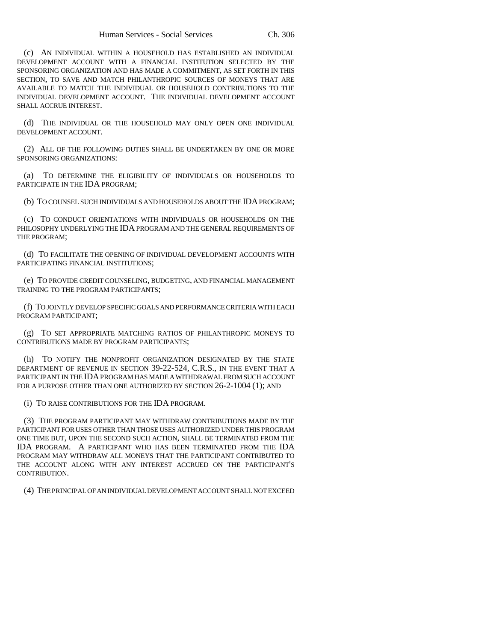(c) AN INDIVIDUAL WITHIN A HOUSEHOLD HAS ESTABLISHED AN INDIVIDUAL DEVELOPMENT ACCOUNT WITH A FINANCIAL INSTITUTION SELECTED BY THE SPONSORING ORGANIZATION AND HAS MADE A COMMITMENT, AS SET FORTH IN THIS SECTION, TO SAVE AND MATCH PHILANTHROPIC SOURCES OF MONEYS THAT ARE AVAILABLE TO MATCH THE INDIVIDUAL OR HOUSEHOLD CONTRIBUTIONS TO THE INDIVIDUAL DEVELOPMENT ACCOUNT. THE INDIVIDUAL DEVELOPMENT ACCOUNT SHALL ACCRUE INTEREST.

(d) THE INDIVIDUAL OR THE HOUSEHOLD MAY ONLY OPEN ONE INDIVIDUAL DEVELOPMENT ACCOUNT.

(2) ALL OF THE FOLLOWING DUTIES SHALL BE UNDERTAKEN BY ONE OR MORE SPONSORING ORGANIZATIONS:

(a) TO DETERMINE THE ELIGIBILITY OF INDIVIDUALS OR HOUSEHOLDS TO PARTICIPATE IN THE IDA PROGRAM;

(b) TO COUNSEL SUCH INDIVIDUALS AND HOUSEHOLDS ABOUT THE IDA PROGRAM;

(c) TO CONDUCT ORIENTATIONS WITH INDIVIDUALS OR HOUSEHOLDS ON THE PHILOSOPHY UNDERLYING THE IDA PROGRAM AND THE GENERAL REQUIREMENTS OF THE PROGRAM;

(d) TO FACILITATE THE OPENING OF INDIVIDUAL DEVELOPMENT ACCOUNTS WITH PARTICIPATING FINANCIAL INSTITUTIONS;

(e) TO PROVIDE CREDIT COUNSELING, BUDGETING, AND FINANCIAL MANAGEMENT TRAINING TO THE PROGRAM PARTICIPANTS;

(f) TO JOINTLY DEVELOP SPECIFIC GOALS AND PERFORMANCE CRITERIA WITH EACH PROGRAM PARTICIPANT;

(g) TO SET APPROPRIATE MATCHING RATIOS OF PHILANTHROPIC MONEYS TO CONTRIBUTIONS MADE BY PROGRAM PARTICIPANTS;

(h) TO NOTIFY THE NONPROFIT ORGANIZATION DESIGNATED BY THE STATE DEPARTMENT OF REVENUE IN SECTION 39-22-524, C.R.S., IN THE EVENT THAT A PARTICIPANT IN THE IDA PROGRAM HAS MADE A WITHDRAWAL FROM SUCH ACCOUNT FOR A PURPOSE OTHER THAN ONE AUTHORIZED BY SECTION 26-2-1004 (1); AND

(i) TO RAISE CONTRIBUTIONS FOR THE IDA PROGRAM.

(3) THE PROGRAM PARTICIPANT MAY WITHDRAW CONTRIBUTIONS MADE BY THE PARTICIPANT FOR USES OTHER THAN THOSE USES AUTHORIZED UNDER THIS PROGRAM ONE TIME BUT, UPON THE SECOND SUCH ACTION, SHALL BE TERMINATED FROM THE IDA PROGRAM. A PARTICIPANT WHO HAS BEEN TERMINATED FROM THE IDA PROGRAM MAY WITHDRAW ALL MONEYS THAT THE PARTICIPANT CONTRIBUTED TO THE ACCOUNT ALONG WITH ANY INTEREST ACCRUED ON THE PARTICIPANT'S CONTRIBUTION.

(4) THE PRINCIPAL OF AN INDIVIDUAL DEVELOPMENT ACCOUNT SHALL NOT EXCEED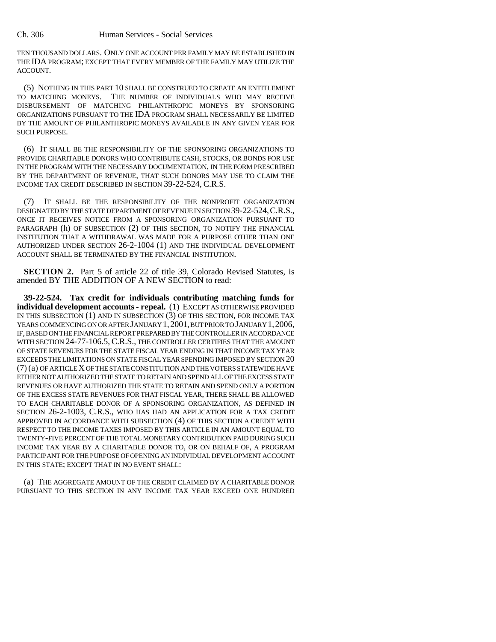TEN THOUSAND DOLLARS. ONLY ONE ACCOUNT PER FAMILY MAY BE ESTABLISHED IN THE IDA PROGRAM; EXCEPT THAT EVERY MEMBER OF THE FAMILY MAY UTILIZE THE ACCOUNT.

(5) NOTHING IN THIS PART 10 SHALL BE CONSTRUED TO CREATE AN ENTITLEMENT TO MATCHING MONEYS. THE NUMBER OF INDIVIDUALS WHO MAY RECEIVE DISBURSEMENT OF MATCHING PHILANTHROPIC MONEYS BY SPONSORING ORGANIZATIONS PURSUANT TO THE IDA PROGRAM SHALL NECESSARILY BE LIMITED BY THE AMOUNT OF PHILANTHROPIC MONEYS AVAILABLE IN ANY GIVEN YEAR FOR SUCH PURPOSE.

(6) IT SHALL BE THE RESPONSIBILITY OF THE SPONSORING ORGANIZATIONS TO PROVIDE CHARITABLE DONORS WHO CONTRIBUTE CASH, STOCKS, OR BONDS FOR USE IN THE PROGRAM WITH THE NECESSARY DOCUMENTATION, IN THE FORM PRESCRIBED BY THE DEPARTMENT OF REVENUE, THAT SUCH DONORS MAY USE TO CLAIM THE INCOME TAX CREDIT DESCRIBED IN SECTION 39-22-524, C.R.S.

(7) IT SHALL BE THE RESPONSIBILITY OF THE NONPROFIT ORGANIZATION DESIGNATED BY THE STATE DEPARTMENT OF REVENUE IN SECTION 39-22-524,C.R.S., ONCE IT RECEIVES NOTICE FROM A SPONSORING ORGANIZATION PURSUANT TO PARAGRAPH (h) OF SUBSECTION (2) OF THIS SECTION, TO NOTIFY THE FINANCIAL INSTITUTION THAT A WITHDRAWAL WAS MADE FOR A PURPOSE OTHER THAN ONE AUTHORIZED UNDER SECTION 26-2-1004 (1) AND THE INDIVIDUAL DEVELOPMENT ACCOUNT SHALL BE TERMINATED BY THE FINANCIAL INSTITUTION.

**SECTION 2.** Part 5 of article 22 of title 39, Colorado Revised Statutes, is amended BY THE ADDITION OF A NEW SECTION to read:

**39-22-524. Tax credit for individuals contributing matching funds for individual development accounts - repeal.** (1) EXCEPT AS OTHERWISE PROVIDED IN THIS SUBSECTION (1) AND IN SUBSECTION (3) OF THIS SECTION, FOR INCOME TAX YEARS COMMENCING ON OR AFTER JANUARY 1,2001, BUT PRIOR TO JANUARY 1,2006, IF, BASED ON THE FINANCIAL REPORT PREPARED BY THE CONTROLLER IN ACCORDANCE WITH SECTION 24-77-106.5, C.R.S., THE CONTROLLER CERTIFIES THAT THE AMOUNT OF STATE REVENUES FOR THE STATE FISCAL YEAR ENDING IN THAT INCOME TAX YEAR EXCEEDS THE LIMITATIONS ON STATE FISCAL YEAR SPENDING IMPOSED BY SECTION 20 (7) (a) OF ARTICLE X OF THE STATE CONSTITUTION AND THE VOTERS STATEWIDE HAVE EITHER NOT AUTHORIZED THE STATE TO RETAIN AND SPEND ALL OF THE EXCESS STATE REVENUES OR HAVE AUTHORIZED THE STATE TO RETAIN AND SPEND ONLY A PORTION OF THE EXCESS STATE REVENUES FOR THAT FISCAL YEAR, THERE SHALL BE ALLOWED TO EACH CHARITABLE DONOR OF A SPONSORING ORGANIZATION, AS DEFINED IN SECTION 26-2-1003, C.R.S., WHO HAS HAD AN APPLICATION FOR A TAX CREDIT APPROVED IN ACCORDANCE WITH SUBSECTION (4) OF THIS SECTION A CREDIT WITH RESPECT TO THE INCOME TAXES IMPOSED BY THIS ARTICLE IN AN AMOUNT EQUAL TO TWENTY-FIVE PERCENT OF THE TOTAL MONETARY CONTRIBUTION PAID DURING SUCH INCOME TAX YEAR BY A CHARITABLE DONOR TO, OR ON BEHALF OF, A PROGRAM PARTICIPANT FOR THE PURPOSE OF OPENING AN INDIVIDUAL DEVELOPMENT ACCOUNT IN THIS STATE; EXCEPT THAT IN NO EVENT SHALL:

(a) THE AGGREGATE AMOUNT OF THE CREDIT CLAIMED BY A CHARITABLE DONOR PURSUANT TO THIS SECTION IN ANY INCOME TAX YEAR EXCEED ONE HUNDRED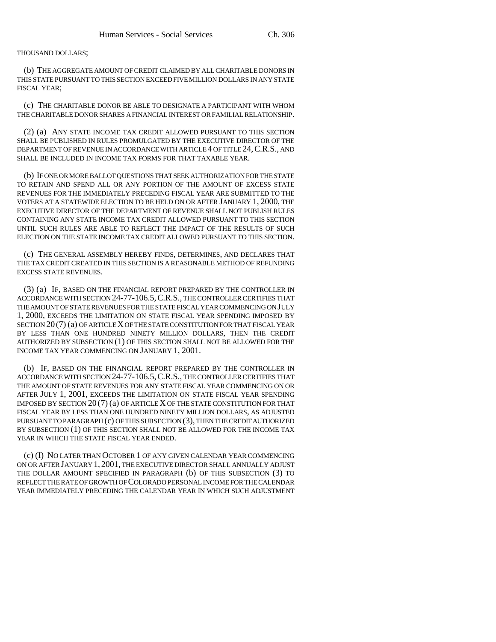THOUSAND DOLLARS;

(b) THE AGGREGATE AMOUNT OF CREDIT CLAIMED BY ALL CHARITABLE DONORS IN THIS STATE PURSUANT TO THIS SECTION EXCEED FIVE MILLION DOLLARS IN ANY STATE FISCAL YEAR;

(c) THE CHARITABLE DONOR BE ABLE TO DESIGNATE A PARTICIPANT WITH WHOM THE CHARITABLE DONOR SHARES A FINANCIAL INTEREST OR FAMILIAL RELATIONSHIP.

(2) (a) ANY STATE INCOME TAX CREDIT ALLOWED PURSUANT TO THIS SECTION SHALL BE PUBLISHED IN RULES PROMULGATED BY THE EXECUTIVE DIRECTOR OF THE DEPARTMENT OF REVENUE IN ACCORDANCE WITH ARTICLE 4 OF TITLE 24,C.R.S., AND SHALL BE INCLUDED IN INCOME TAX FORMS FOR THAT TAXABLE YEAR.

(b) IF ONE OR MORE BALLOT QUESTIONS THAT SEEK AUTHORIZATION FOR THE STATE TO RETAIN AND SPEND ALL OR ANY PORTION OF THE AMOUNT OF EXCESS STATE REVENUES FOR THE IMMEDIATELY PRECEDING FISCAL YEAR ARE SUBMITTED TO THE VOTERS AT A STATEWIDE ELECTION TO BE HELD ON OR AFTER JANUARY 1, 2000, THE EXECUTIVE DIRECTOR OF THE DEPARTMENT OF REVENUE SHALL NOT PUBLISH RULES CONTAINING ANY STATE INCOME TAX CREDIT ALLOWED PURSUANT TO THIS SECTION UNTIL SUCH RULES ARE ABLE TO REFLECT THE IMPACT OF THE RESULTS OF SUCH ELECTION ON THE STATE INCOME TAX CREDIT ALLOWED PURSUANT TO THIS SECTION.

(c) THE GENERAL ASSEMBLY HEREBY FINDS, DETERMINES, AND DECLARES THAT THE TAX CREDIT CREATED IN THIS SECTION IS A REASONABLE METHOD OF REFUNDING EXCESS STATE REVENUES.

(3) (a) IF, BASED ON THE FINANCIAL REPORT PREPARED BY THE CONTROLLER IN ACCORDANCE WITH SECTION 24-77-106.5,C.R.S., THE CONTROLLER CERTIFIES THAT THE AMOUNT OF STATE REVENUES FOR THE STATE FISCAL YEAR COMMENCING ON JULY 1, 2000, EXCEEDS THE LIMITATION ON STATE FISCAL YEAR SPENDING IMPOSED BY SECTION 20 (7) (a) OF ARTICLE X OF THE STATE CONSTITUTION FOR THAT FISCAL YEAR BY LESS THAN ONE HUNDRED NINETY MILLION DOLLARS, THEN THE CREDIT AUTHORIZED BY SUBSECTION (1) OF THIS SECTION SHALL NOT BE ALLOWED FOR THE INCOME TAX YEAR COMMENCING ON JANUARY 1, 2001.

(b) IF, BASED ON THE FINANCIAL REPORT PREPARED BY THE CONTROLLER IN ACCORDANCE WITH SECTION 24-77-106.5,C.R.S., THE CONTROLLER CERTIFIES THAT THE AMOUNT OF STATE REVENUES FOR ANY STATE FISCAL YEAR COMMENCING ON OR AFTER JULY 1, 2001, EXCEEDS THE LIMITATION ON STATE FISCAL YEAR SPENDING IMPOSED BY SECTION 20 (7) (a) OF ARTICLE X OF THE STATE CONSTITUTION FOR THAT FISCAL YEAR BY LESS THAN ONE HUNDRED NINETY MILLION DOLLARS, AS ADJUSTED PURSUANT TO PARAGRAPH (c) OF THIS SUBSECTION (3), THEN THE CREDIT AUTHORIZED BY SUBSECTION (1) OF THIS SECTION SHALL NOT BE ALLOWED FOR THE INCOME TAX YEAR IN WHICH THE STATE FISCAL YEAR ENDED.

(c) (I) NO LATER THAN OCTOBER 1 OF ANY GIVEN CALENDAR YEAR COMMENCING ON OR AFTER JANUARY 1, 2001, THE EXECUTIVE DIRECTOR SHALL ANNUALLY ADJUST THE DOLLAR AMOUNT SPECIFIED IN PARAGRAPH (b) OF THIS SUBSECTION (3) TO REFLECT THE RATE OF GROWTH OF COLORADO PERSONAL INCOME FOR THE CALENDAR YEAR IMMEDIATELY PRECEDING THE CALENDAR YEAR IN WHICH SUCH ADJUSTMENT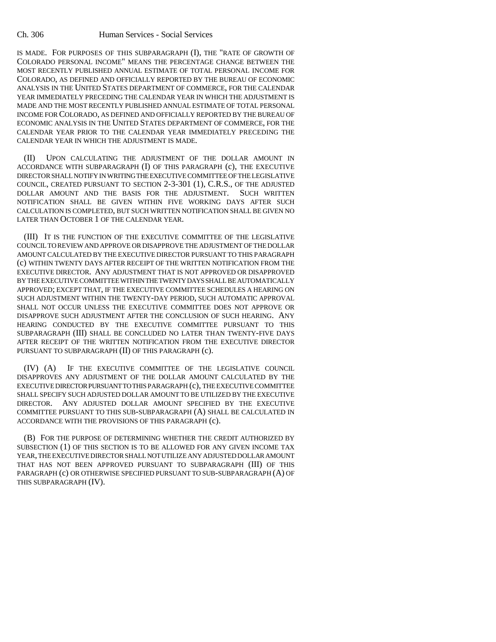IS MADE. FOR PURPOSES OF THIS SUBPARAGRAPH (I), THE "RATE OF GROWTH OF COLORADO PERSONAL INCOME" MEANS THE PERCENTAGE CHANGE BETWEEN THE MOST RECENTLY PUBLISHED ANNUAL ESTIMATE OF TOTAL PERSONAL INCOME FOR COLORADO, AS DEFINED AND OFFICIALLY REPORTED BY THE BUREAU OF ECONOMIC ANALYSIS IN THE UNITED STATES DEPARTMENT OF COMMERCE, FOR THE CALENDAR YEAR IMMEDIATELY PRECEDING THE CALENDAR YEAR IN WHICH THE ADJUSTMENT IS MADE AND THE MOST RECENTLY PUBLISHED ANNUAL ESTIMATE OF TOTAL PERSONAL INCOME FOR COLORADO, AS DEFINED AND OFFICIALLY REPORTED BY THE BUREAU OF ECONOMIC ANALYSIS IN THE UNITED STATES DEPARTMENT OF COMMERCE, FOR THE CALENDAR YEAR PRIOR TO THE CALENDAR YEAR IMMEDIATELY PRECEDING THE CALENDAR YEAR IN WHICH THE ADJUSTMENT IS MADE.

(II) UPON CALCULATING THE ADJUSTMENT OF THE DOLLAR AMOUNT IN ACCORDANCE WITH SUBPARAGRAPH (I) OF THIS PARAGRAPH (c), THE EXECUTIVE DIRECTOR SHALL NOTIFY IN WRITING THE EXECUTIVE COMMITTEE OF THE LEGISLATIVE COUNCIL, CREATED PURSUANT TO SECTION 2-3-301 (1), C.R.S., OF THE ADJUSTED DOLLAR AMOUNT AND THE BASIS FOR THE ADJUSTMENT. SUCH WRITTEN NOTIFICATION SHALL BE GIVEN WITHIN FIVE WORKING DAYS AFTER SUCH CALCULATION IS COMPLETED, BUT SUCH WRITTEN NOTIFICATION SHALL BE GIVEN NO LATER THAN OCTOBER 1 OF THE CALENDAR YEAR.

(III) IT IS THE FUNCTION OF THE EXECUTIVE COMMITTEE OF THE LEGISLATIVE COUNCIL TO REVIEW AND APPROVE OR DISAPPROVE THE ADJUSTMENT OF THE DOLLAR AMOUNT CALCULATED BY THE EXECUTIVE DIRECTOR PURSUANT TO THIS PARAGRAPH (c) WITHIN TWENTY DAYS AFTER RECEIPT OF THE WRITTEN NOTIFICATION FROM THE EXECUTIVE DIRECTOR. ANY ADJUSTMENT THAT IS NOT APPROVED OR DISAPPROVED BY THE EXECUTIVE COMMITTEE WITHIN THE TWENTY DAYS SHALL BE AUTOMATICALLY APPROVED; EXCEPT THAT, IF THE EXECUTIVE COMMITTEE SCHEDULES A HEARING ON SUCH ADJUSTMENT WITHIN THE TWENTY-DAY PERIOD, SUCH AUTOMATIC APPROVAL SHALL NOT OCCUR UNLESS THE EXECUTIVE COMMITTEE DOES NOT APPROVE OR DISAPPROVE SUCH ADJUSTMENT AFTER THE CONCLUSION OF SUCH HEARING. ANY HEARING CONDUCTED BY THE EXECUTIVE COMMITTEE PURSUANT TO THIS SUBPARAGRAPH (III) SHALL BE CONCLUDED NO LATER THAN TWENTY-FIVE DAYS AFTER RECEIPT OF THE WRITTEN NOTIFICATION FROM THE EXECUTIVE DIRECTOR PURSUANT TO SUBPARAGRAPH (II) OF THIS PARAGRAPH (c).

(IV) (A) IF THE EXECUTIVE COMMITTEE OF THE LEGISLATIVE COUNCIL DISAPPROVES ANY ADJUSTMENT OF THE DOLLAR AMOUNT CALCULATED BY THE EXECUTIVE DIRECTOR PURSUANT TO THIS PARAGRAPH (c), THE EXECUTIVE COMMITTEE SHALL SPECIFY SUCH ADJUSTED DOLLAR AMOUNT TO BE UTILIZED BY THE EXECUTIVE DIRECTOR. ANY ADJUSTED DOLLAR AMOUNT SPECIFIED BY THE EXECUTIVE COMMITTEE PURSUANT TO THIS SUB-SUBPARAGRAPH (A) SHALL BE CALCULATED IN ACCORDANCE WITH THE PROVISIONS OF THIS PARAGRAPH (c).

(B) FOR THE PURPOSE OF DETERMINING WHETHER THE CREDIT AUTHORIZED BY SUBSECTION (1) OF THIS SECTION IS TO BE ALLOWED FOR ANY GIVEN INCOME TAX YEAR, THE EXECUTIVE DIRECTOR SHALL NOT UTILIZE ANY ADJUSTED DOLLAR AMOUNT THAT HAS NOT BEEN APPROVED PURSUANT TO SUBPARAGRAPH (III) OF THIS PARAGRAPH (c) OR OTHERWISE SPECIFIED PURSUANT TO SUB-SUBPARAGRAPH (A) OF THIS SUBPARAGRAPH (IV).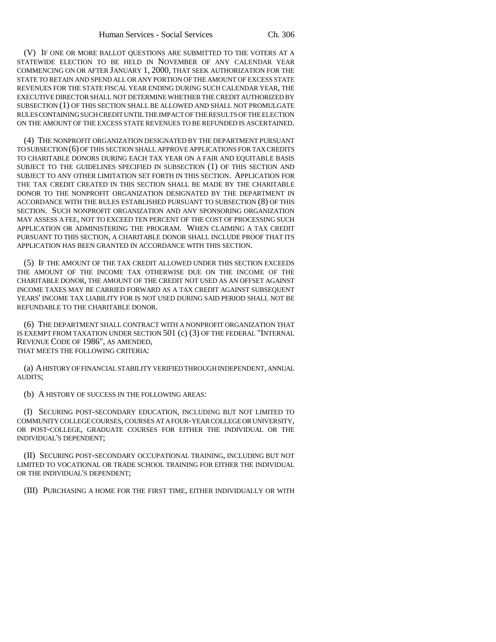(V) IF ONE OR MORE BALLOT QUESTIONS ARE SUBMITTED TO THE VOTERS AT A STATEWIDE ELECTION TO BE HELD IN NOVEMBER OF ANY CALENDAR YEAR COMMENCING ON OR AFTER JANUARY 1, 2000, THAT SEEK AUTHORIZATION FOR THE STATE TO RETAIN AND SPEND ALL OR ANY PORTION OF THE AMOUNT OF EXCESS STATE REVENUES FOR THE STATE FISCAL YEAR ENDING DURING SUCH CALENDAR YEAR, THE EXECUTIVE DIRECTOR SHALL NOT DETERMINE WHETHER THE CREDIT AUTHORIZED BY SUBSECTION (1) OF THIS SECTION SHALL BE ALLOWED AND SHALL NOT PROMULGATE RULES CONTAINING SUCH CREDIT UNTIL THE IMPACT OF THE RESULTS OF THE ELECTION ON THE AMOUNT OF THE EXCESS STATE REVENUES TO BE REFUNDED IS ASCERTAINED.

(4) THE NONPROFIT ORGANIZATION DESIGNATED BY THE DEPARTMENT PURSUANT TO SUBSECTION (6) OF THIS SECTION SHALL APPROVE APPLICATIONS FOR TAX CREDITS TO CHARITABLE DONORS DURING EACH TAX YEAR ON A FAIR AND EQUITABLE BASIS SUBJECT TO THE GUIDELINES SPECIFIED IN SUBSECTION (1) OF THIS SECTION AND SUBJECT TO ANY OTHER LIMITATION SET FORTH IN THIS SECTION. APPLICATION FOR THE TAX CREDIT CREATED IN THIS SECTION SHALL BE MADE BY THE CHARITABLE DONOR TO THE NONPROFIT ORGANIZATION DESIGNATED BY THE DEPARTMENT IN ACCORDANCE WITH THE RULES ESTABLISHED PURSUANT TO SUBSECTION (8) OF THIS SECTION. SUCH NONPROFIT ORGANIZATION AND ANY SPONSORING ORGANIZATION MAY ASSESS A FEE, NOT TO EXCEED TEN PERCENT OF THE COST OF PROCESSING SUCH APPLICATION OR ADMINISTERING THE PROGRAM. WHEN CLAIMING A TAX CREDIT PURSUANT TO THIS SECTION, A CHARITABLE DONOR SHALL INCLUDE PROOF THAT ITS APPLICATION HAS BEEN GRANTED IN ACCORDANCE WITH THIS SECTION.

(5) IF THE AMOUNT OF THE TAX CREDIT ALLOWED UNDER THIS SECTION EXCEEDS THE AMOUNT OF THE INCOME TAX OTHERWISE DUE ON THE INCOME OF THE CHARITABLE DONOR, THE AMOUNT OF THE CREDIT NOT USED AS AN OFFSET AGAINST INCOME TAXES MAY BE CARRIED FORWARD AS A TAX CREDIT AGAINST SUBSEQUENT YEARS' INCOME TAX LIABILITY FOR IS NOT USED DURING SAID PERIOD SHALL NOT BE REFUNDABLE TO THE CHARITABLE DONOR.

(6) THE DEPARTMENT SHALL CONTRACT WITH A NONPROFIT ORGANIZATION THAT IS EXEMPT FROM TAXATION UNDER SECTION 501 (c) (3) OF THE FEDERAL "INTERNAL REVENUE CODE OF 1986", AS AMENDED, THAT MEETS THE FOLLOWING CRITERIA:

(a) A HISTORY OF FINANCIAL STABILITY VERIFIED THROUGH INDEPENDENT, ANNUAL AUDITS;

(b) A HISTORY OF SUCCESS IN THE FOLLOWING AREAS:

(I) SECURING POST-SECONDARY EDUCATION, INCLUDING BUT NOT LIMITED TO COMMUNITY COLLEGE COURSES, COURSES AT A FOUR-YEAR COLLEGE OR UNIVERSITY, OR POST-COLLEGE, GRADUATE COURSES FOR EITHER THE INDIVIDUAL OR THE INDIVIDUAL'S DEPENDENT;

(II) SECURING POST-SECONDARY OCCUPATIONAL TRAINING, INCLUDING BUT NOT LIMITED TO VOCATIONAL OR TRADE SCHOOL TRAINING FOR EITHER THE INDIVIDUAL OR THE INDIVIDUAL'S DEPENDENT;

(III) PURCHASING A HOME FOR THE FIRST TIME, EITHER INDIVIDUALLY OR WITH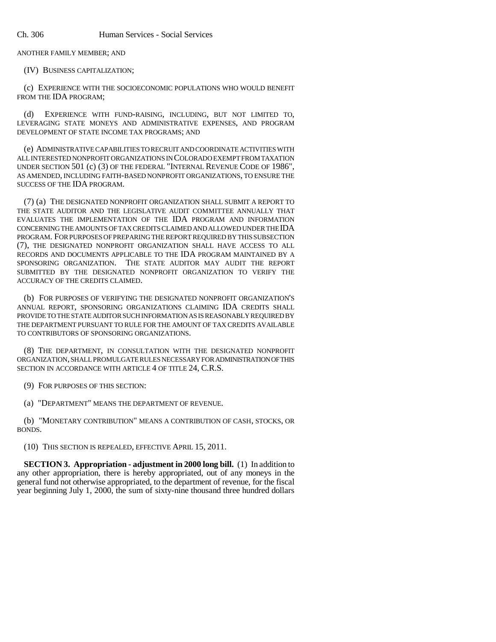ANOTHER FAMILY MEMBER; AND

(IV) BUSINESS CAPITALIZATION;

(c) EXPERIENCE WITH THE SOCIOECONOMIC POPULATIONS WHO WOULD BENEFIT FROM THE IDA PROGRAM;

(d) EXPERIENCE WITH FUND-RAISING, INCLUDING, BUT NOT LIMITED TO, LEVERAGING STATE MONEYS AND ADMINISTRATIVE EXPENSES, AND PROGRAM DEVELOPMENT OF STATE INCOME TAX PROGRAMS; AND

(e) ADMINISTRATIVE CAPABILITIES TO RECRUIT AND COORDINATE ACTIVITIES WITH ALL INTERESTED NONPROFIT ORGANIZATIONS IN COLORADO EXEMPT FROM TAXATION UNDER SECTION 501 (c) (3) OF THE FEDERAL "INTERNAL REVENUE CODE OF 1986", AS AMENDED, INCLUDING FAITH-BASED NONPROFIT ORGANIZATIONS, TO ENSURE THE SUCCESS OF THE IDA PROGRAM.

(7) (a) THE DESIGNATED NONPROFIT ORGANIZATION SHALL SUBMIT A REPORT TO THE STATE AUDITOR AND THE LEGISLATIVE AUDIT COMMITTEE ANNUALLY THAT EVALUATES THE IMPLEMENTATION OF THE IDA PROGRAM AND INFORMATION CONCERNING THE AMOUNTS OF TAX CREDITS CLAIMED AND ALLOWED UNDER THE IDA PROGRAM. FOR PURPOSES OF PREPARING THE REPORT REQUIRED BY THIS SUBSECTION (7), THE DESIGNATED NONPROFIT ORGANIZATION SHALL HAVE ACCESS TO ALL RECORDS AND DOCUMENTS APPLICABLE TO THE IDA PROGRAM MAINTAINED BY A SPONSORING ORGANIZATION. THE STATE AUDITOR MAY AUDIT THE REPORT SUBMITTED BY THE DESIGNATED NONPROFIT ORGANIZATION TO VERIFY THE ACCURACY OF THE CREDITS CLAIMED.

(b) FOR PURPOSES OF VERIFYING THE DESIGNATED NONPROFIT ORGANIZATION'S ANNUAL REPORT, SPONSORING ORGANIZATIONS CLAIMING IDA CREDITS SHALL PROVIDE TO THE STATE AUDITOR SUCH INFORMATION AS IS REASONABLY REQUIRED BY THE DEPARTMENT PURSUANT TO RULE FOR THE AMOUNT OF TAX CREDITS AVAILABLE TO CONTRIBUTORS OF SPONSORING ORGANIZATIONS.

(8) THE DEPARTMENT, IN CONSULTATION WITH THE DESIGNATED NONPROFIT ORGANIZATION, SHALL PROMULGATE RULES NECESSARY FOR ADMINISTRATION OF THIS SECTION IN ACCORDANCE WITH ARTICLE 4 OF TITLE 24, C.R.S.

(9) FOR PURPOSES OF THIS SECTION:

(a) "DEPARTMENT" MEANS THE DEPARTMENT OF REVENUE.

(b) "MONETARY CONTRIBUTION" MEANS A CONTRIBUTION OF CASH, STOCKS, OR BONDS.

(10) THIS SECTION IS REPEALED, EFFECTIVE APRIL 15, 2011.

**SECTION 3. Appropriation - adjustment in 2000 long bill.** (1) In addition to any other appropriation, there is hereby appropriated, out of any moneys in the general fund not otherwise appropriated, to the department of revenue, for the fiscal year beginning July 1, 2000, the sum of sixty-nine thousand three hundred dollars